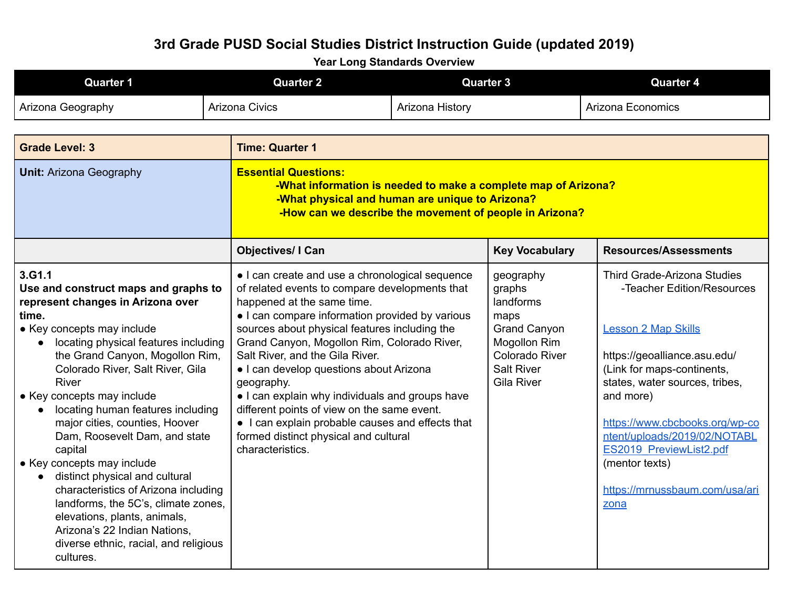**Year Long Standards Overview**

| Quarter 1         | Quarter 2             | <b>Quarter 3</b> | Quarter 4         |
|-------------------|-----------------------|------------------|-------------------|
| Arizona Geography | <b>Arizona Civics</b> | Arizona History  | Arizona Economics |

| <b>Grade Level: 3</b>                                                                                                                                                                                                                                                                                                                                                                                                                                                                                                                                                                                                                                                                              | <b>Time: Quarter 1</b>                                                                                                                                                                                                                                                                                                                                                                                                                                                                                                                                                                            |                                                                                                                                                    |                                                                                                                                                                                                                                                                                                                                                                      |
|----------------------------------------------------------------------------------------------------------------------------------------------------------------------------------------------------------------------------------------------------------------------------------------------------------------------------------------------------------------------------------------------------------------------------------------------------------------------------------------------------------------------------------------------------------------------------------------------------------------------------------------------------------------------------------------------------|---------------------------------------------------------------------------------------------------------------------------------------------------------------------------------------------------------------------------------------------------------------------------------------------------------------------------------------------------------------------------------------------------------------------------------------------------------------------------------------------------------------------------------------------------------------------------------------------------|----------------------------------------------------------------------------------------------------------------------------------------------------|----------------------------------------------------------------------------------------------------------------------------------------------------------------------------------------------------------------------------------------------------------------------------------------------------------------------------------------------------------------------|
| <b>Unit: Arizona Geography</b>                                                                                                                                                                                                                                                                                                                                                                                                                                                                                                                                                                                                                                                                     | <b>Essential Questions:</b><br>-What information is needed to make a complete map of Arizona?<br>-What physical and human are unique to Arizona?<br>-How can we describe the movement of people in Arizona?                                                                                                                                                                                                                                                                                                                                                                                       |                                                                                                                                                    |                                                                                                                                                                                                                                                                                                                                                                      |
|                                                                                                                                                                                                                                                                                                                                                                                                                                                                                                                                                                                                                                                                                                    | <b>Objectives/ I Can</b>                                                                                                                                                                                                                                                                                                                                                                                                                                                                                                                                                                          | <b>Key Vocabulary</b>                                                                                                                              | <b>Resources/Assessments</b>                                                                                                                                                                                                                                                                                                                                         |
| 3.G1.1<br>Use and construct maps and graphs to<br>represent changes in Arizona over<br>time.<br>• Key concepts may include<br>locating physical features including<br>$\bullet$<br>the Grand Canyon, Mogollon Rim,<br>Colorado River, Salt River, Gila<br>River<br>• Key concepts may include<br>locating human features including<br>major cities, counties, Hoover<br>Dam, Roosevelt Dam, and state<br>capital<br>• Key concepts may include<br>distinct physical and cultural<br>$\bullet$<br>characteristics of Arizona including<br>landforms, the 5C's, climate zones,<br>elevations, plants, animals,<br>Arizona's 22 Indian Nations,<br>diverse ethnic, racial, and religious<br>cultures. | • I can create and use a chronological sequence<br>of related events to compare developments that<br>happened at the same time.<br>• I can compare information provided by various<br>sources about physical features including the<br>Grand Canyon, Mogollon Rim, Colorado River,<br>Salt River, and the Gila River.<br>• I can develop questions about Arizona<br>geography.<br>• I can explain why individuals and groups have<br>different points of view on the same event.<br>• I can explain probable causes and effects that<br>formed distinct physical and cultural<br>characteristics. | geography<br>graphs<br>landforms<br>maps<br><b>Grand Canyon</b><br>Mogollon Rim<br><b>Colorado River</b><br><b>Salt River</b><br><b>Gila River</b> | <b>Third Grade-Arizona Studies</b><br>-Teacher Edition/Resources<br><b>Lesson 2 Map Skills</b><br>https://geoalliance.asu.edu/<br>(Link for maps-continents,<br>states, water sources, tribes,<br>and more)<br>https://www.cbcbooks.org/wp-co<br>ntent/uploads/2019/02/NOTABL<br>ES2019 PreviewList2.pdf<br>(mentor texts)<br>https://mrnussbaum.com/usa/ari<br>zona |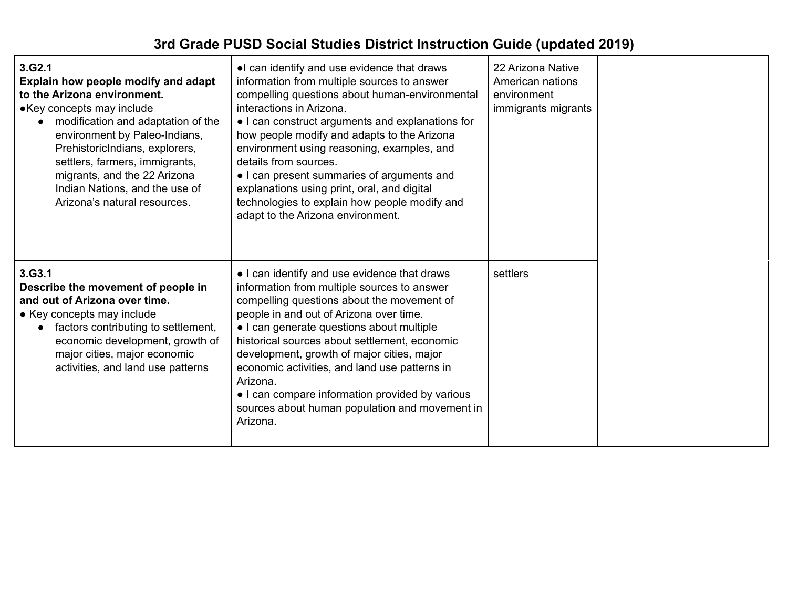| 3.G2.1<br>Explain how people modify and adapt<br>to the Arizona environment.<br>• Key concepts may include<br>modification and adaptation of the<br>environment by Paleo-Indians,<br>PrehistoricIndians, explorers,<br>settlers, farmers, immigrants,<br>migrants, and the 22 Arizona<br>Indian Nations, and the use of<br>Arizona's natural resources. | . I can identify and use evidence that draws<br>information from multiple sources to answer<br>compelling questions about human-environmental<br>interactions in Arizona.<br>• I can construct arguments and explanations for<br>how people modify and adapts to the Arizona<br>environment using reasoning, examples, and<br>details from sources.<br>• I can present summaries of arguments and<br>explanations using print, oral, and digital<br>technologies to explain how people modify and<br>adapt to the Arizona environment. | 22 Arizona Native<br>American nations<br>environment<br>immigrants migrants |
|---------------------------------------------------------------------------------------------------------------------------------------------------------------------------------------------------------------------------------------------------------------------------------------------------------------------------------------------------------|----------------------------------------------------------------------------------------------------------------------------------------------------------------------------------------------------------------------------------------------------------------------------------------------------------------------------------------------------------------------------------------------------------------------------------------------------------------------------------------------------------------------------------------|-----------------------------------------------------------------------------|
| 3.G3.1<br>Describe the movement of people in<br>and out of Arizona over time.<br>• Key concepts may include<br>factors contributing to settlement,<br>economic development, growth of<br>major cities, major economic<br>activities, and land use patterns                                                                                              | • I can identify and use evidence that draws<br>information from multiple sources to answer<br>compelling questions about the movement of<br>people in and out of Arizona over time.<br>• I can generate questions about multiple<br>historical sources about settlement, economic<br>development, growth of major cities, major<br>economic activities, and land use patterns in<br>Arizona.<br>• I can compare information provided by various<br>sources about human population and movement in<br>Arizona.                         | settlers                                                                    |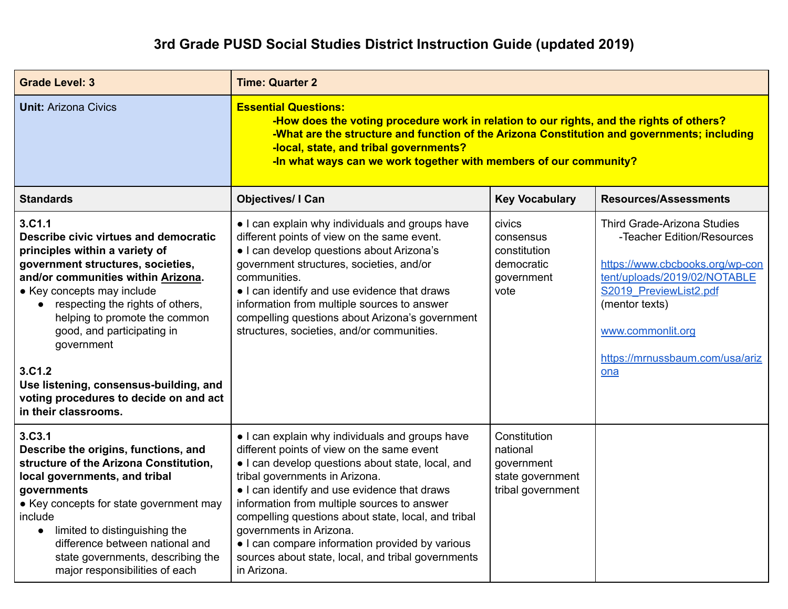| <b>Grade Level: 3</b>                                                                                                                                                                                                                                                                                                                                                                                                                          | <b>Time: Quarter 2</b>                                                                                                                                                                                                                                                                                                                                                                                                                                                                        |                                                                                 |                                                                                                                                                                                                                                                  |
|------------------------------------------------------------------------------------------------------------------------------------------------------------------------------------------------------------------------------------------------------------------------------------------------------------------------------------------------------------------------------------------------------------------------------------------------|-----------------------------------------------------------------------------------------------------------------------------------------------------------------------------------------------------------------------------------------------------------------------------------------------------------------------------------------------------------------------------------------------------------------------------------------------------------------------------------------------|---------------------------------------------------------------------------------|--------------------------------------------------------------------------------------------------------------------------------------------------------------------------------------------------------------------------------------------------|
| <b>Unit: Arizona Civics</b>                                                                                                                                                                                                                                                                                                                                                                                                                    | <b>Essential Questions:</b><br>-How does the voting procedure work in relation to our rights, and the rights of others?<br>-What are the structure and function of the Arizona Constitution and governments; including<br>-local, state, and tribal governments?<br>-In what ways can we work together with members of our community?                                                                                                                                                         |                                                                                 |                                                                                                                                                                                                                                                  |
| <b>Standards</b>                                                                                                                                                                                                                                                                                                                                                                                                                               | <b>Objectives/ I Can</b>                                                                                                                                                                                                                                                                                                                                                                                                                                                                      | <b>Key Vocabulary</b>                                                           | <b>Resources/Assessments</b>                                                                                                                                                                                                                     |
| 3.C1.1<br>Describe civic virtues and democratic<br>principles within a variety of<br>government structures, societies,<br>and/or communities within Arizona.<br>• Key concepts may include<br>respecting the rights of others,<br>$\bullet$<br>helping to promote the common<br>good, and participating in<br>government<br>3.C1.2<br>Use listening, consensus-building, and<br>voting procedures to decide on and act<br>in their classrooms. | • I can explain why individuals and groups have<br>different points of view on the same event.<br>• I can develop questions about Arizona's<br>government structures, societies, and/or<br>communities.<br>• I can identify and use evidence that draws<br>information from multiple sources to answer<br>compelling questions about Arizona's government<br>structures, societies, and/or communities.                                                                                       | civics<br>consensus<br>constitution<br>democratic<br>government<br>vote         | <b>Third Grade-Arizona Studies</b><br>-Teacher Edition/Resources<br>https://www.cbcbooks.org/wp-con<br>tent/uploads/2019/02/NOTABLE<br>S2019 PreviewList2.pdf<br>(mentor texts)<br>www.commonlit.org<br>https://mrnussbaum.com/usa/ariz<br>$ona$ |
| 3.C3.1<br>Describe the origins, functions, and<br>structure of the Arizona Constitution,<br>local governments, and tribal<br>governments<br>• Key concepts for state government may<br>include<br>limited to distinguishing the<br>$\bullet$<br>difference between national and<br>state governments, describing the<br>major responsibilities of each                                                                                         | • I can explain why individuals and groups have<br>different points of view on the same event<br>• I can develop questions about state, local, and<br>tribal governments in Arizona.<br>• I can identify and use evidence that draws<br>information from multiple sources to answer<br>compelling questions about state, local, and tribal<br>governments in Arizona.<br>• I can compare information provided by various<br>sources about state, local, and tribal governments<br>in Arizona. | Constitution<br>national<br>government<br>state government<br>tribal government |                                                                                                                                                                                                                                                  |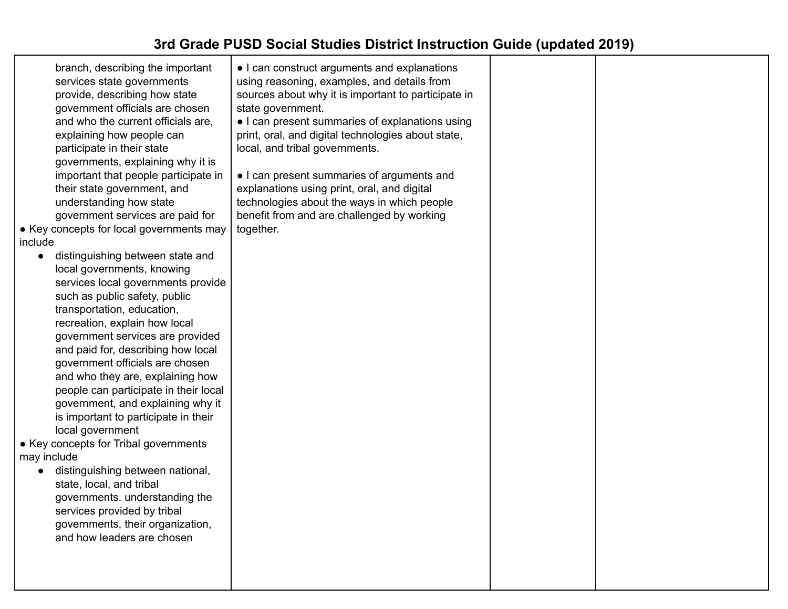| branch, describing the important<br>services state governments<br>provide, describing how state<br>government officials are chosen<br>and who the current officials are,<br>explaining how people can<br>participate in their state<br>governments, explaining why it is<br>important that people participate in<br>their state government, and<br>understanding how state<br>government services are paid for<br>• Key concepts for local governments may                                                   | • I can construct arguments and explanations<br>using reasoning, examples, and details from<br>sources about why it is important to participate in<br>state government.<br>• I can present summaries of explanations using<br>print, oral, and digital technologies about state,<br>local, and tribal governments.<br>• I can present summaries of arguments and<br>explanations using print, oral, and digital<br>technologies about the ways in which people<br>benefit from and are challenged by working<br>together. |  |
|--------------------------------------------------------------------------------------------------------------------------------------------------------------------------------------------------------------------------------------------------------------------------------------------------------------------------------------------------------------------------------------------------------------------------------------------------------------------------------------------------------------|---------------------------------------------------------------------------------------------------------------------------------------------------------------------------------------------------------------------------------------------------------------------------------------------------------------------------------------------------------------------------------------------------------------------------------------------------------------------------------------------------------------------------|--|
| include                                                                                                                                                                                                                                                                                                                                                                                                                                                                                                      |                                                                                                                                                                                                                                                                                                                                                                                                                                                                                                                           |  |
| distinguishing between state and<br>$\bullet$<br>local governments, knowing<br>services local governments provide<br>such as public safety, public<br>transportation, education,<br>recreation, explain how local<br>government services are provided<br>and paid for, describing how local<br>government officials are chosen<br>and who they are, explaining how<br>people can participate in their local<br>government, and explaining why it<br>is important to participate in their<br>local government |                                                                                                                                                                                                                                                                                                                                                                                                                                                                                                                           |  |
| • Key concepts for Tribal governments                                                                                                                                                                                                                                                                                                                                                                                                                                                                        |                                                                                                                                                                                                                                                                                                                                                                                                                                                                                                                           |  |
| may include                                                                                                                                                                                                                                                                                                                                                                                                                                                                                                  |                                                                                                                                                                                                                                                                                                                                                                                                                                                                                                                           |  |
| distinguishing between national,<br>state, local, and tribal<br>governments. understanding the<br>services provided by tribal<br>governments, their organization,<br>and how leaders are chosen                                                                                                                                                                                                                                                                                                              |                                                                                                                                                                                                                                                                                                                                                                                                                                                                                                                           |  |
|                                                                                                                                                                                                                                                                                                                                                                                                                                                                                                              |                                                                                                                                                                                                                                                                                                                                                                                                                                                                                                                           |  |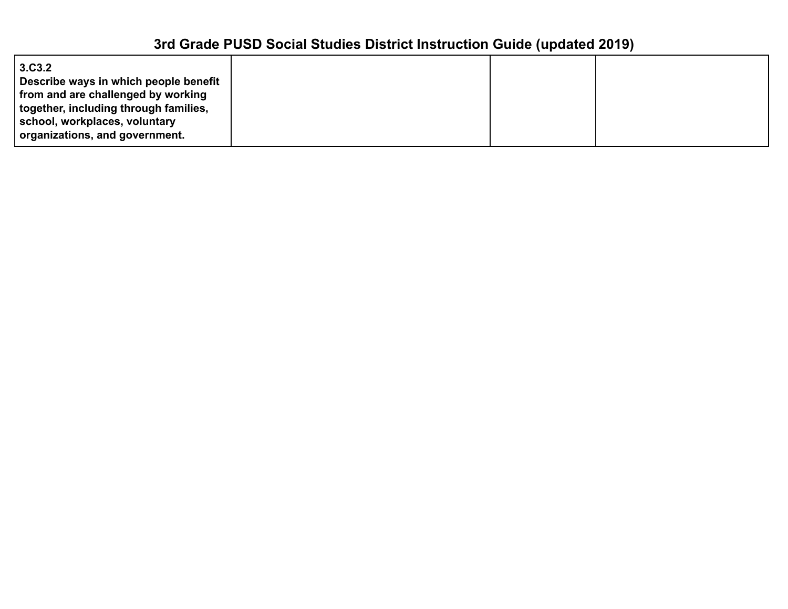| 3.C <sub>3.2</sub>                    |  |  |
|---------------------------------------|--|--|
| Describe ways in which people benefit |  |  |
| from and are challenged by working    |  |  |
| together, including through families, |  |  |
| school, workplaces, voluntary         |  |  |
| organizations, and government.        |  |  |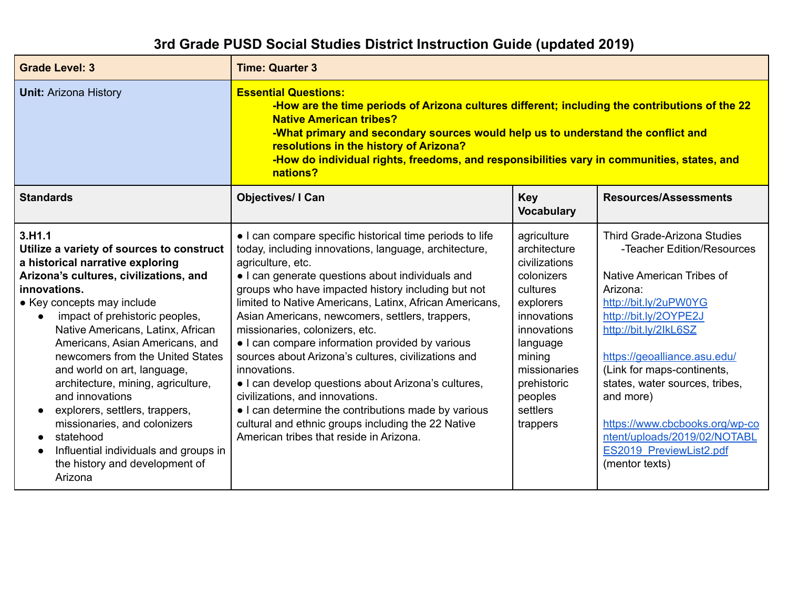| <b>Grade Level: 3</b>                                                                                                                                                                                                                                                                                                                                                                                                                                                                                                                                                                                                             | <b>Time: Quarter 3</b>                                                                                                                                                                                                                                                                                                                                                                                                                                                                                                                                                                                                                                                                                                                                                       |                                                                                                                                                                                                           |                                                                                                                                                                                                                                                                                                                                                                                                           |
|-----------------------------------------------------------------------------------------------------------------------------------------------------------------------------------------------------------------------------------------------------------------------------------------------------------------------------------------------------------------------------------------------------------------------------------------------------------------------------------------------------------------------------------------------------------------------------------------------------------------------------------|------------------------------------------------------------------------------------------------------------------------------------------------------------------------------------------------------------------------------------------------------------------------------------------------------------------------------------------------------------------------------------------------------------------------------------------------------------------------------------------------------------------------------------------------------------------------------------------------------------------------------------------------------------------------------------------------------------------------------------------------------------------------------|-----------------------------------------------------------------------------------------------------------------------------------------------------------------------------------------------------------|-----------------------------------------------------------------------------------------------------------------------------------------------------------------------------------------------------------------------------------------------------------------------------------------------------------------------------------------------------------------------------------------------------------|
| <b>Unit: Arizona History</b>                                                                                                                                                                                                                                                                                                                                                                                                                                                                                                                                                                                                      | <b>Essential Questions:</b><br>-How are the time periods of Arizona cultures different; including the contributions of the 22<br><b>Native American tribes?</b><br>-What primary and secondary sources would help us to understand the conflict and<br>resolutions in the history of Arizona?<br>-How do individual rights, freedoms, and responsibilities vary in communities, states, and<br>nations?                                                                                                                                                                                                                                                                                                                                                                      |                                                                                                                                                                                                           |                                                                                                                                                                                                                                                                                                                                                                                                           |
| <b>Standards</b>                                                                                                                                                                                                                                                                                                                                                                                                                                                                                                                                                                                                                  | <b>Objectives/I Can</b>                                                                                                                                                                                                                                                                                                                                                                                                                                                                                                                                                                                                                                                                                                                                                      | <b>Key</b><br><b>Vocabulary</b>                                                                                                                                                                           | <b>Resources/Assessments</b>                                                                                                                                                                                                                                                                                                                                                                              |
| 3.H1.1<br>Utilize a variety of sources to construct<br>a historical narrative exploring<br>Arizona's cultures, civilizations, and<br>innovations.<br>• Key concepts may include<br>impact of prehistoric peoples,<br>$\bullet$<br>Native Americans, Latinx, African<br>Americans, Asian Americans, and<br>newcomers from the United States<br>and world on art, language,<br>architecture, mining, agriculture,<br>and innovations<br>explorers, settlers, trappers,<br>$\bullet$<br>missionaries, and colonizers<br>statehood<br>Influential individuals and groups in<br>$\bullet$<br>the history and development of<br>Arizona | • I can compare specific historical time periods to life<br>today, including innovations, language, architecture,<br>agriculture, etc.<br>• I can generate questions about individuals and<br>groups who have impacted history including but not<br>limited to Native Americans, Latinx, African Americans,<br>Asian Americans, newcomers, settlers, trappers,<br>missionaries, colonizers, etc.<br>• I can compare information provided by various<br>sources about Arizona's cultures, civilizations and<br>innovations.<br>• I can develop questions about Arizona's cultures,<br>civilizations, and innovations.<br>• I can determine the contributions made by various<br>cultural and ethnic groups including the 22 Native<br>American tribes that reside in Arizona. | agriculture<br>architecture<br>civilizations<br>colonizers<br>cultures<br>explorers<br>innovations<br>innovations<br>language<br>mining<br>missionaries<br>prehistoric<br>peoples<br>settlers<br>trappers | Third Grade-Arizona Studies<br>-Teacher Edition/Resources<br>Native American Tribes of<br>Arizona:<br>http://bit.ly/2uPW0YG<br>http://bit.ly/2OYPE2J<br>http://bit.ly/2lkL6SZ<br>https://geoalliance.asu.edu/<br>(Link for maps-continents,<br>states, water sources, tribes,<br>and more)<br>https://www.cbcbooks.org/wp-co<br>ntent/uploads/2019/02/NOTABL<br>ES2019 PreviewList2.pdf<br>(mentor texts) |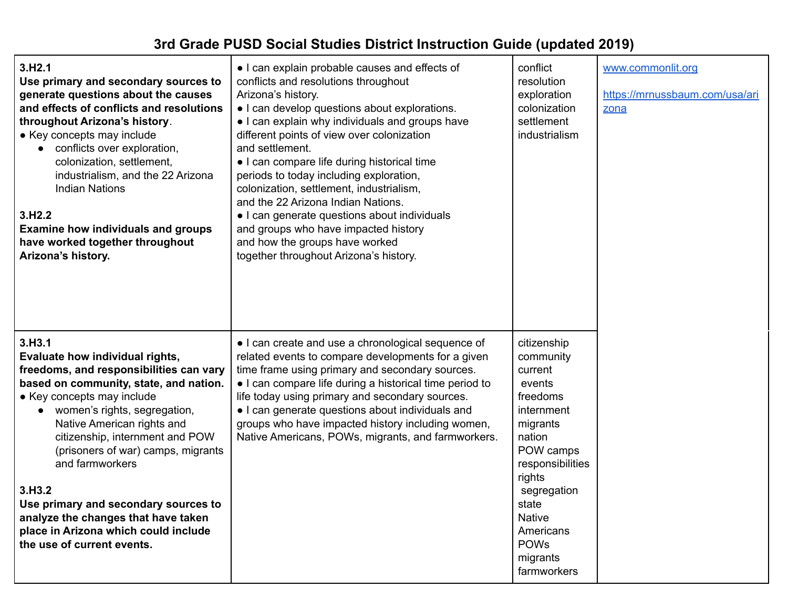| 3.H2.1<br>Use primary and secondary sources to<br>generate questions about the causes<br>and effects of conflicts and resolutions<br>throughout Arizona's history.<br>• Key concepts may include<br>conflicts over exploration,<br>$\bullet$<br>colonization, settlement,<br>industrialism, and the 22 Arizona<br><b>Indian Nations</b><br>3.H2.2<br><b>Examine how individuals and groups</b><br>have worked together throughout<br>Arizona's history.                                            | • I can explain probable causes and effects of<br>conflicts and resolutions throughout<br>Arizona's history.<br>• I can develop questions about explorations.<br>• I can explain why individuals and groups have<br>different points of view over colonization<br>and settlement.<br>• I can compare life during historical time<br>periods to today including exploration,<br>colonization, settlement, industrialism,<br>and the 22 Arizona Indian Nations.<br>• I can generate questions about individuals<br>and groups who have impacted history<br>and how the groups have worked<br>together throughout Arizona's history. | conflict<br>resolution<br>exploration<br>colonization<br>settlement<br>industrialism                                                                                                                                                     | www.commonlit.org<br>https://mrnussbaum.com/usa/ari<br>zona |
|----------------------------------------------------------------------------------------------------------------------------------------------------------------------------------------------------------------------------------------------------------------------------------------------------------------------------------------------------------------------------------------------------------------------------------------------------------------------------------------------------|-----------------------------------------------------------------------------------------------------------------------------------------------------------------------------------------------------------------------------------------------------------------------------------------------------------------------------------------------------------------------------------------------------------------------------------------------------------------------------------------------------------------------------------------------------------------------------------------------------------------------------------|------------------------------------------------------------------------------------------------------------------------------------------------------------------------------------------------------------------------------------------|-------------------------------------------------------------|
| 3.H3.1<br>Evaluate how individual rights,<br>freedoms, and responsibilities can vary<br>based on community, state, and nation.<br>• Key concepts may include<br>women's rights, segregation,<br>$\bullet$<br>Native American rights and<br>citizenship, internment and POW<br>(prisoners of war) camps, migrants<br>and farmworkers<br>3.H3.2<br>Use primary and secondary sources to<br>analyze the changes that have taken<br>place in Arizona which could include<br>the use of current events. | • I can create and use a chronological sequence of<br>related events to compare developments for a given<br>time frame using primary and secondary sources.<br>• I can compare life during a historical time period to<br>life today using primary and secondary sources.<br>• I can generate questions about individuals and<br>groups who have impacted history including women,<br>Native Americans, POWs, migrants, and farmworkers.                                                                                                                                                                                          | citizenship<br>community<br>current<br>events<br>freedoms<br>internment<br>migrants<br>nation<br>POW camps<br>responsibilities<br>rights<br>segregation<br>state<br><b>Native</b><br>Americans<br><b>POWs</b><br>migrants<br>farmworkers |                                                             |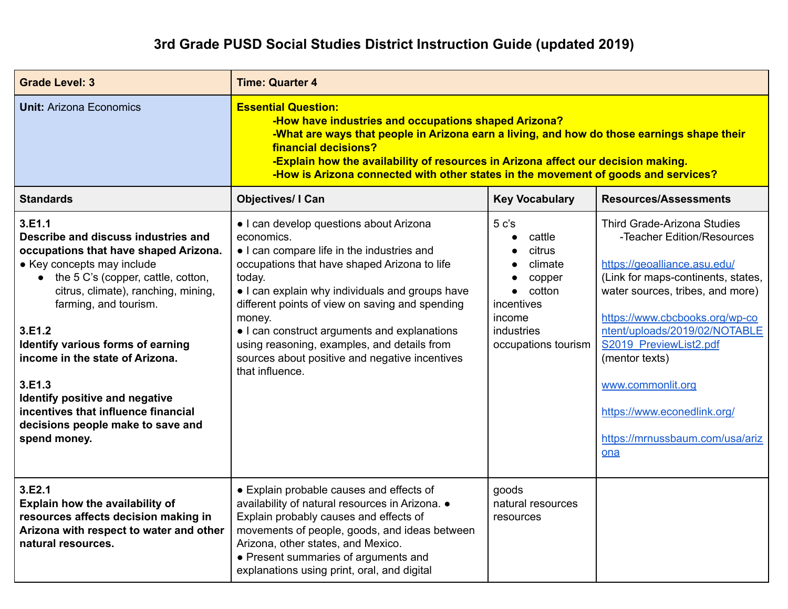| <b>Grade Level: 3</b>                                                                                                                                                                                                                                                                                                                                                                                                                                | <b>Time: Quarter 4</b>                                                                                                                                                                                                                                                                                                                                                                                                                            |                                                                                                                                                                                      |                                                                                                                                                                                                                                                                                                                                                                                         |
|------------------------------------------------------------------------------------------------------------------------------------------------------------------------------------------------------------------------------------------------------------------------------------------------------------------------------------------------------------------------------------------------------------------------------------------------------|---------------------------------------------------------------------------------------------------------------------------------------------------------------------------------------------------------------------------------------------------------------------------------------------------------------------------------------------------------------------------------------------------------------------------------------------------|--------------------------------------------------------------------------------------------------------------------------------------------------------------------------------------|-----------------------------------------------------------------------------------------------------------------------------------------------------------------------------------------------------------------------------------------------------------------------------------------------------------------------------------------------------------------------------------------|
| <b>Unit: Arizona Economics</b>                                                                                                                                                                                                                                                                                                                                                                                                                       | <b>Essential Question:</b><br>-How have industries and occupations shaped Arizona?<br>-What are ways that people in Arizona earn a living, and how do those earnings shape their<br>financial decisions?<br>-Explain how the availability of resources in Arizona affect our decision making.<br>-How is Arizona connected with other states in the movement of goods and services?                                                               |                                                                                                                                                                                      |                                                                                                                                                                                                                                                                                                                                                                                         |
| <b>Standards</b>                                                                                                                                                                                                                                                                                                                                                                                                                                     | <b>Objectives/ I Can</b>                                                                                                                                                                                                                                                                                                                                                                                                                          | <b>Key Vocabulary</b>                                                                                                                                                                | <b>Resources/Assessments</b>                                                                                                                                                                                                                                                                                                                                                            |
| 3.E1.1<br>Describe and discuss industries and<br>occupations that have shaped Arizona.<br>• Key concepts may include<br>the 5 C's (copper, cattle, cotton,<br>citrus, climate), ranching, mining,<br>farming, and tourism.<br>3.E1.2<br>Identify various forms of earning<br>income in the state of Arizona.<br>3.E1.3<br>Identify positive and negative<br>incentives that influence financial<br>decisions people make to save and<br>spend money. | • I can develop questions about Arizona<br>economics.<br>• I can compare life in the industries and<br>occupations that have shaped Arizona to life<br>today.<br>• I can explain why individuals and groups have<br>different points of view on saving and spending<br>money.<br>• I can construct arguments and explanations<br>using reasoning, examples, and details from<br>sources about positive and negative incentives<br>that influence. | 5 <sub>c's</sub><br>cattle<br>$\bullet$<br>citrus<br>climate<br>$\bullet$<br>copper<br>$\bullet$<br>cotton<br>$\bullet$<br>incentives<br>income<br>industries<br>occupations tourism | <b>Third Grade-Arizona Studies</b><br>-Teacher Edition/Resources<br>https://geoalliance.asu.edu/<br>(Link for maps-continents, states,<br>water sources, tribes, and more)<br>https://www.cbcbooks.org/wp-co<br>ntent/uploads/2019/02/NOTABLE<br>S2019 PreviewList2.pdf<br>(mentor texts)<br>www.commonlit.org<br>https://www.econedlink.org/<br>https://mrnussbaum.com/usa/ariz<br>ona |
| 3.E2.1<br>Explain how the availability of<br>resources affects decision making in<br>Arizona with respect to water and other<br>natural resources.                                                                                                                                                                                                                                                                                                   | • Explain probable causes and effects of<br>availability of natural resources in Arizona. .<br>Explain probably causes and effects of<br>movements of people, goods, and ideas between<br>Arizona, other states, and Mexico.<br>• Present summaries of arguments and<br>explanations using print, oral, and digital                                                                                                                               | goods<br>natural resources<br>resources                                                                                                                                              |                                                                                                                                                                                                                                                                                                                                                                                         |